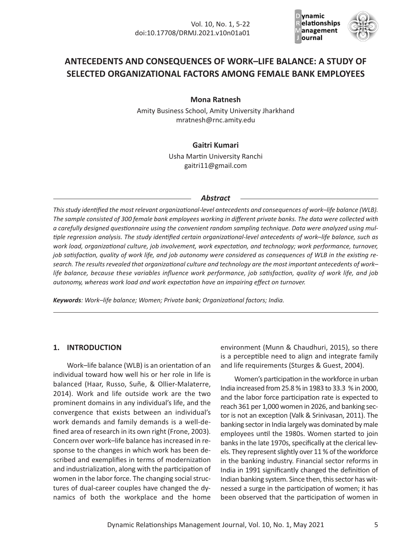

# **ANTECEDENTS AND CONSEQUENCES OF WORK–LIFE BALANCE: A STUDY OF SELECTED ORGANIZATIONAL FACTORS AMONG FEMALE BANK EMPLOYEES**

**Mona Ratnesh** 

Amity Business School, Amity University Jharkhand mratnesh@rnc.amity.edu

## **Gaitri Kumari**

Usha Martin University Ranchi gaitri11@gmail.com

### *Abstract*

*This study identified the most relevant organizational‐level antecedents and consequences of work–life balance (WLB). The sample consisted of 300 female bank employees working in different private banks. The data were collected with a carefully designed questionnaire using the convenient random sampling technique. Data were analyzed using mul‐ tiple regression analysis. The study identified certain organizational‐level antecedents of work–life balance, such as work load, organizational culture, job involvement, work expectation, and technology; work performance, turnover, job satisfaction, quality of work life, and job autonomy were considered as consequences of WLB in the existing re‐ search. The results revealed that organizational culture and technology are the most important antecedents of work– life balance, because these variables influence work performance, job satisfaction, quality of work life, and job autonomy, whereas work load and work expectation have an impairing effect on turnover.* 

*Keywords: Work–life balance; Women; Private bank; Organizational factors; India.*

## **1. INTRODUCTION**

Work–life balance (WLB) is an orientation of an individual toward how well his or her role in life is balanced (Haar, Russo, Suñe, & Ollier‐Malaterre, 2014). Work and life outside work are the two prominent domains in any individual's life, and the convergence that exists between an individual's work demands and family demands is a well‐de‐ fined area of research in its own right (Frone, 2003). Concern over work–life balance has increased in re‐ sponse to the changes in which work has been de‐ scribed and exemplifies in terms of modernization and industrialization, along with the participation of women in the labor force. The changing social struc‐ tures of dual‐career couples have changed the dy‐ namics of both the workplace and the home

environment (Munn & Chaudhuri, 2015), so there is a perceptible need to align and integrate family and life requirements (Sturges & Guest, 2004).

Women's participation in the workforce in urban India increased from 25.8 % in 1983 to 33.3 % in 2000, and the labor force participation rate is expected to reach 361 per 1,000 women in 2026, and banking sec‐ tor is not an exception (Valk & Srinivasan, 2011). The banking sector in India largely was dominated by male employees until the 1980s. Women started to join banks in the late 1970s, specifically at the clerical lev‐ els. They represent slightly over 11 % of the workforce in the banking industry. Financial sector reforms in India in 1991 significantly changed the definition of Indian banking system. Since then, this sector has wit‐ nessed a surge in the participation of women; it has been observed that the participation of women in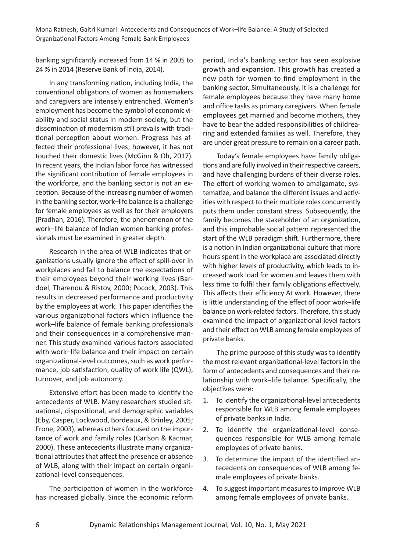banking significantly increased from 14 % in 2005 to 24 % in 2014 (Reserve Bank of India, 2014).

In any transforming nation, including India, the conventional obligations of women as homemakers and caregivers are intensely entrenched. Women's employment has become the symbol of economic vi‐ ability and social status in modern society, but the dissemination of modernism still prevails with tradi‐ tional perception about women. Progress has af‐ fected their professional lives; however, it has not touched their domestic lives (McGinn & Oh, 2017). In recent years, the Indian labor force has witnessed the significant contribution of female employees in the workforce, and the banking sector is not an exception. Because of the increasing number of women in the banking sector, work–life balance is a challenge for female employees as well as for their employers (Pradhan, 2016). Therefore, the phenomenon of the work–life balance of Indian women banking profes‐ sionals must be examined in greater depth.

Research in the area of WLB indicates that or‐ ganizations usually ignore the effect of spill‐over in workplaces and fail to balance the expectations of their employees beyond their working lives (Bar‐ doel, Tharenou & Ristov, 2000; Pocock, 2003). This results in decreased performance and productivity by the employees at work. This paper identifies the various organizational factors which influence the work–life balance of female banking professionals and their consequences in a comprehensive man‐ ner. This study examined various factors associated with work–life balance and their impact on certain organizational‐level outcomes, such as work perfor‐ mance, job satisfaction, quality of work life (QWL), turnover, and job autonomy.

Extensive effort has been made to identify the antecedents of WLB. Many researchers studied sit‐ uational, dispositional, and demographic variables (Eby, Casper, Lockwood, Bordeaux, & Brinley, 2005; Frone, 2003), whereas others focused on the impor‐ tance of work and family roles (Carlson & Kacmar, 2000). These antecedents illustrate many organiza‐ tional attributes that affect the presence or absence of WLB, along with their impact on certain organi‐ zational‐level consequences.

The participation of women in the workforce has increased globally. Since the economic reform period, India's banking sector has seen explosive growth and expansion. This growth has created a new path for women to find employment in the banking sector. Simultaneously, it is a challenge for female employees because they have many home and office tasks as primary caregivers. When female employees get married and become mothers, they have to bear the added responsibilities of childrearing and extended families as well. Therefore, they are under great pressure to remain on a career path.

Today's female employees have family obliga‐ tions and are fully involved in their respective careers, and have challenging burdens of their diverse roles. The effort of working women to amalgamate, sys‐ tematize, and balance the different issues and activ‐ ities with respect to their multiple roles concurrently puts them under constant stress. Subsequently, the family becomes the stakeholder of an organization, and this improbable social pattern represented the start of the WLB paradigm shift. Furthermore, there is a notion in Indian organizational culture that more hours spent in the workplace are associated directly with higher levels of productivity, which leads to increased work load for women and leaves them with less time to fulfil their family obligations effectively. This affects their efficiency At work. However, there is little understanding of the effect of poor work–life balance on work‐related factors. Therefore, this study examined the impact of organizational‐level factors and their effect on WLB among female employees of private banks.

The prime purpose of this study was to identify the most relevant organizational‐level factors in the form of antecedents and consequences and their re‐ lationship with work–life balance. Specifically, the objectives were:

- 1. To identify the organizational‐level antecedents responsible for WLB among female employees of private banks in India.
- 2. To identify the organizational‐level conse‐ quences responsible for WLB among female employees of private banks.
- 3. To determine the impact of the identified an‐ tecedents on consequences of WLB among fe‐ male employees of private banks.
- 4. To suggest important measures to improve WLB among female employees of private banks.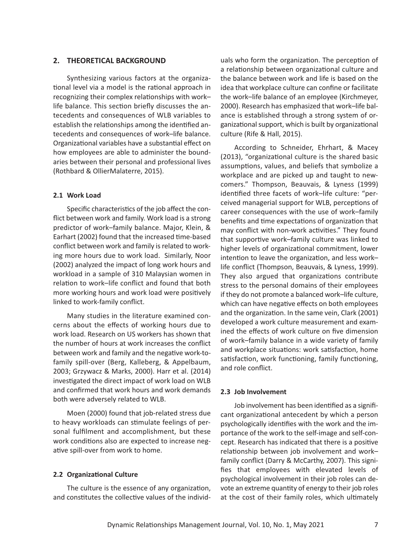### **2. THEORETICAL BACKGROUND**

Synthesizing various factors at the organiza‐ tional level via a model is the rational approach in recognizing their complex relationships with work– life balance. This section briefly discusses the an‐ tecedents and consequences of WLB variables to establish the relationships among the identified an‐ tecedents and consequences of work–life balance. Organizational variables have a substantial effect on how employees are able to administer the bound‐ aries between their personal and professional lives (Rothbard & OllierMalaterre, 2015).

### **2.1 Work Load**

Specific characteristics of the job affect the con‐ flict between work and family. Work load is a strong predictor of work–family balance. Major, Klein, & Earhart (2002) found that the increased time‐based conflict between work and family is related to work‐ ing more hours due to work load. Similarly, Noor (2002) analyzed the impact of long work hours and workload in a sample of 310 Malaysian women in relation to work–life conflict and found that both more working hours and work load were positively linked to work‐family conflict.

Many studies in the literature examined con‐ cerns about the effects of working hours due to work load. Research on US workers has shown that the number of hours at work increases the conflict between work and family and the negative work‐to‐ family spill‐over (Berg, Kalleberg, & Appelbaum, 2003; Grzywacz & Marks, 2000). Harr et al. (2014) investigated the direct impact of work load on WLB and confirmed that work hours and work demands both were adversely related to WLB.

Moen (2000) found that job‐related stress due to heavy workloads can stimulate feelings of per‐ sonal fulfilment and accomplishment, but these work conditions also are expected to increase negative spill‐over from work to home.

#### **2.2 Organizational Culture**

The culture is the essence of any organization, and constitutes the collective values of the individ‐

uals who form the organization. The perception of a relationship between organizational culture and the balance between work and life is based on the idea that workplace culture can confine or facilitate the work–life balance of an employee (Kirchmeyer, 2000). Research has emphasized that work–life bal‐ ance is established through a strong system of or‐ ganizational support, which is built by organizational culture (Rife & Hall, 2015).

According to Schneider, Ehrhart, & Macey (2013), "organizational culture is the shared basic assumptions, values, and beliefs that symbolize a workplace and are picked up and taught to new‐ comers." Thompson, Beauvais, & Lyness (1999) identified three facets of work–life culture: "per‐ ceived managerial support for WLB, perceptions of career consequences with the use of work–family benefits and time expectations of organization that may conflict with non‐work activities." They found that supportive work–family culture was linked to higher levels of organizational commitment, lower intention to leave the organization, and less work– life conflict (Thompson, Beauvais, & Lyness, 1999). They also argued that organizations contribute stress to the personal domains of their employees if they do not promote a balanced work–life culture, which can have negative effects on both employees and the organization. In the same vein, Clark (2001) developed a work culture measurement and exam‐ ined the effects of work culture on five dimension of work–family balance in a wide variety of family and workplace situations: work satisfaction, home satisfaction, work functioning, family functioning, and role conflict.

#### **2.3 Job Involvement**

Job involvement has been identified as a signifi‐ cant organizational antecedent by which a person psychologically identifies with the work and the im‐ portance of the work to the self‐image and self‐con‐ cept. Research has indicated that there is a positive relationship between job involvement and work– family conflict (Darry & McCarthy, 2007). This signi‐ fies that employees with elevated levels of psychological involvement in their job roles can de‐ vote an extreme quantity of energy to their job roles at the cost of their family roles, which ultimately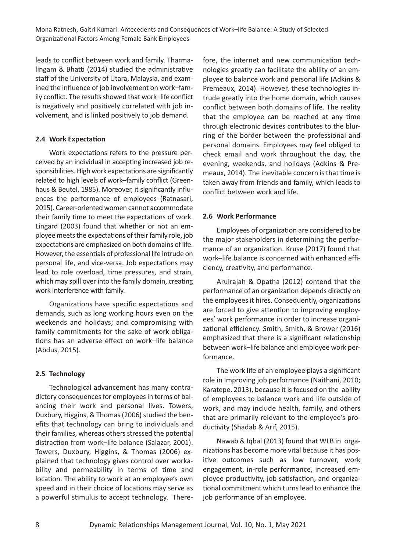leads to conflict between work and family. Tharma‐ lingam & Bhatti (2014) studied the administrative staff of the University of Utara, Malaysia, and exam‐ ined the influence of job involvement on work–fam‐ ily conflict. The results showed that work–life conflict is negatively and positively correlated with job in‐ volvement, and is linked positively to job demand.

## **2.4 Work Expectation**

Work expectations refers to the pressure per‐ ceived by an individual in accepting increased job re‐ sponsibilities. High work expectations are significantly related to high levels of work–family conflict (Green‐ haus & Beutel, 1985). Moreover, it significantly influences the performance of employees (Ratnasari, 2015). Career‐oriented women cannot accommodate their family time to meet the expectations of work. Lingard (2003) found that whether or not an em‐ ployee meets the expectations of their family role, job expectations are emphasized on both domains of life. However, the essentials of professional life intrude on personal life, and vice‐versa. Job expectations may lead to role overload, time pressures, and strain, which may spill over into the family domain, creating work interference with family.

Organizations have specific expectations and demands, such as long working hours even on the weekends and holidays; and compromising with family commitments for the sake of work obligations has an adverse effect on work–life balance (Abdus, 2015).

## **2.5 Technology**

Technological advancement has many contra‐ dictory consequences for employees in terms of bal‐ ancing their work and personal lives. Towers, Duxbury, Higgins, & Thomas (2006) studied the ben‐ efits that technology can bring to individuals and their families, whereas others stressed the potential distraction from work–life balance (Salazar, 2001). Towers, Duxbury, Higgins, & Thomas (2006) ex‐ plained that technology gives control over worka‐ bility and permeability in terms of time and location. The ability to work at an employee's own speed and in their choice of locations may serve as a powerful stimulus to accept technology. There‐

fore, the internet and new communication tech‐ nologies greatly can facilitate the ability of an em‐ ployee to balance work and personal life (Adkins & Premeaux, 2014). However, these technologies in‐ trude greatly into the home domain, which causes conflict between both domains of life. The reality that the employee can be reached at any time through electronic devices contributes to the blur‐ ring of the border between the professional and personal domains. Employees may feel obliged to check email and work throughout the day, the evening, weekends, and holidays (Adkins & Pre‐ meaux, 2014). The inevitable concern is that time is taken away from friends and family, which leads to conflict between work and life.

## **2.6 Work Performance**

Employees of organization are considered to be the major stakeholders in determining the perfor‐ mance of an organization. Kruse (2017) found that work–life balance is concerned with enhanced effi‐ ciency, creativity, and performance.

Arulrajah & Opatha (2012) contend that the performance of an organization depends directly on the employees it hires. Consequently, organizations are forced to give attention to improving employ‐ ees' work performance in order to increase organi‐ zational efficiency. Smith, Smith, & Brower (2016) emphasized that there is a significant relationship between work–life balance and employee work per‐ formance.

The work life of an employee plays a significant role in improving job performance (Naithani, 2010; Karatepe, 2013), because it is focused on the ability of employees to balance work and life outside of work, and may include health, family, and others that are primarily relevant to the employee's pro‐ ductivity (Shadab & Arif, 2015).

Nawab & Iqbal (2013) found that WLB in orga‐ nizations has become more vital because it has pos‐ itive outcomes such as low turnover, work engagement, in‐role performance, increased em‐ ployee productivity, job satisfaction, and organiza‐ tional commitment which turns lead to enhance the job performance of an employee.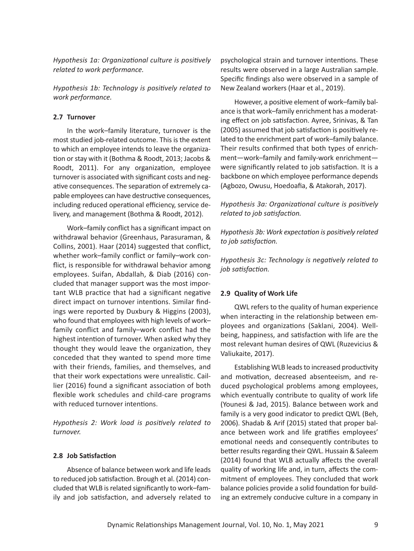*Hypothesis 1a: Organizational culture is positively related to work performance.*

*Hypothesis 1b: Technology is positively related to work performance.*

### **2.7 Turnover**

In the work–family literature, turnover is the most studied job‐related outcome. This is the extent to which an employee intends to leave the organiza‐ tion or stay with it (Bothma & Roodt, 2013; Jacobs & Roodt, 2011). For any organization, employee turnover is associated with significant costs and neg‐ ative consequences. The separation of extremely ca‐ pable employees can have destructive consequences, including reduced operational efficiency, service de‐ livery, and management (Bothma & Roodt, 2012).

Work–family conflict has a significant impact on withdrawal behavior (Greenhaus, Parasuraman, & Collins, 2001). Haar (2014) suggested that conflict, whether work–family conflict or family–work con‐ flict, is responsible for withdrawal behavior among employees. Suifan, Abdallah, & Diab (2016) con‐ cluded that manager support was the most impor‐ tant WLB practice that had a significant negative direct impact on turnover intentions. Similar find‐ ings were reported by Duxbury & Higgins (2003), who found that employees with high levels of work– family conflict and family–work conflict had the highest intention of turnover. When asked why they thought they would leave the organization, they conceded that they wanted to spend more time with their friends, families, and themselves, and that their work expectations were unrealistic. Cail‐ lier (2016) found a significant association of both flexible work schedules and child-care programs with reduced turnover intentions.

*Hypothesis 2: Work load is positively related to turnover.*

### **2.8 Job Satisfaction**

Absence of balance between work and life leads to reduced job satisfaction. Brough et al. (2014) con‐ cluded that WLB is related significantly to work–fam‐ ily and job satisfaction, and adversely related to

psychological strain and turnover intentions. These results were observed in a large Australian sample. Specific findings also were observed in a sample of New Zealand workers (Haar et al., 2019).

However, a positive element of work–family bal‐ ance is that work–family enrichment has a moderat‐ ing effect on job satisfaction. Ayree, Srinivas, & Tan (2005) assumed that job satisfaction is positively re‐ lated to the enrichment part of work–family balance. Their results confirmed that both types of enrich‐ ment—work–family and family‐work enrichment were significantly related to job satisfaction. It is a backbone on which employee performance depends (Agbozo, Owusu, Hoedoafia, & Atakorah, 2017).

*Hypothesis 3a: Organizational culture is positively related to job satisfaction.*

*Hypothesis 3b: Work expectation is positively related to job satisfaction.* 

*Hypothesis 3c: Technology is negatively related to job satisfaction.* 

#### **2.9 Quality of Work Life**

QWL refers to the quality of human experience when interacting in the relationship between employees and organizations (Saklani, 2004). Well‐ being, happiness, and satisfaction with life are the most relevant human desires of QWL (Ruzevicius & Valiukaite, 2017).

Establishing WLB leads to increased productivity and motivation, decreased absenteeism, and re‐ duced psychological problems among employees, which eventually contribute to quality of work life (Younesi & Jad, 2015). Balance between work and family is a very good indicator to predict QWL (Beh, 2006). Shadab & Arif (2015) stated that proper bal‐ ance between work and life gratifies employees' emotional needs and consequently contributes to better results regarding their QWL. Hussain & Saleem (2014) found that WLB actually affects the overall quality of working life and, in turn, affects the com‐ mitment of employees. They concluded that work balance policies provide a solid foundation for build‐ ing an extremely conducive culture in a company in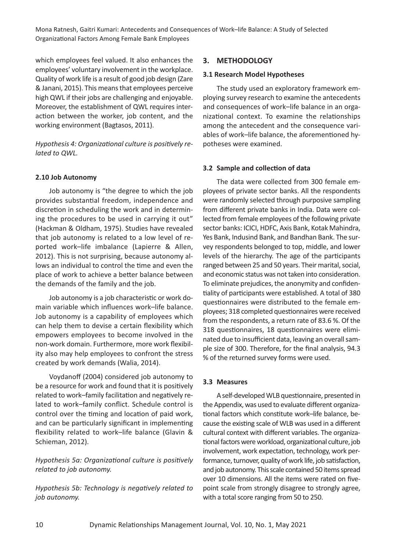which employees feel valued. It also enhances the employees' voluntary involvement in the workplace. Quality of work life is a result of good job design (Zare & Janani, 2015). This means that employees perceive high QWL if their jobs are challenging and enjoyable. Moreover, the establishment of QWL requires inter‐ action between the worker, job content, and the working environment (Bagtasos, 2011).

*Hypothesis 4: Organizational culture is positively re‐ lated to QWL.* 

## **2.10 Job Autonomy**

Job autonomy is "the degree to which the job provides substantial freedom, independence and discretion in scheduling the work and in determin‐ ing the procedures to be used in carrying it out" (Hackman & Oldham, 1975). Studies have revealed that job autonomy is related to a low level of re‐ ported work–life imbalance (Lapierre & Allen, 2012). This is not surprising, because autonomy al‐ lows an individual to control the time and even the place of work to achieve a better balance between the demands of the family and the job.

Job autonomy is a job characteristic or work do‐ main variable which influences work–life balance. Job autonomy is a capability of employees which can help them to devise a certain flexibility which empowers employees to become involved in the non‐work domain. Furthermore, more work flexibil‐ ity also may help employees to confront the stress created by work demands (Walia, 2014).

Voydanoff (2004) considered job autonomy to be a resource for work and found that it is positively related to work–family facilitation and negatively re‐ lated to work–family conflict. Schedule control is control over the timing and location of paid work, and can be particularly significant in implementing flexibility related to work–life balance (Glavin & Schieman, 2012).

*Hypothesis 5a: Organizational culture is positively related to job autonomy.* 

*Hypothesis 5b: Technology is negatively related to job autonomy.* 

## **3. METHODOLOGY**

### **3.1 Research Model Hypotheses**

The study used an exploratory framework em‐ ploying survey research to examine the antecedents and consequences of work–life balance in an orga‐ nizational context. To examine the relationships among the antecedent and the consequence vari‐ ables of work–life balance, the aforementioned hy‐ potheses were examined.

## **3.2 Sample and collection of data**

The data were collected from 300 female em‐ ployees of private sector banks. All the respondents were randomly selected through purposive sampling from different private banks in India. Data were col‐ lected from female employees of the following private sector banks: ICICI, HDFC, Axis Bank, Kotak Mahindra, Yes Bank, Indusind Bank, and Bandhan Bank. The sur‐ vey respondents belonged to top, middle, and lower levels of the hierarchy. The age of the participants ranged between 25 and 50 years. Their marital, social, and economic status was not taken into consideration. To eliminate prejudices, the anonymity and confiden‐ tiality of participants were established. A total of 380 questionnaires were distributed to the female em‐ ployees; 318 completed questionnaires were received from the respondents, a return rate of 83.6 %. Of the 318 questionnaires, 18 questionnaires were elimi‐ nated due to insufficient data, leaving an overall sam‐ ple size of 300. Therefore, for the final analysis, 94.3 % of the returned survey forms were used.

## **3.3 Measures**

A self‐developed WLB questionnaire, presented in the Appendix, was used to evaluate different organiza‐ tional factors which constitute work–life balance, be‐ cause the existing scale of WLB was used in a different cultural context with different variables. The organiza‐ tional factors were workload, organizational culture, job involvement, work expectation, technology, work per‐ formance, turnover, quality of work life, job satisfaction, and job autonomy. This scale contained 50 items spread over 10 dimensions. All the items were rated on five‐ point scale from strongly disagree to strongly agree, with a total score ranging from 50 to 250.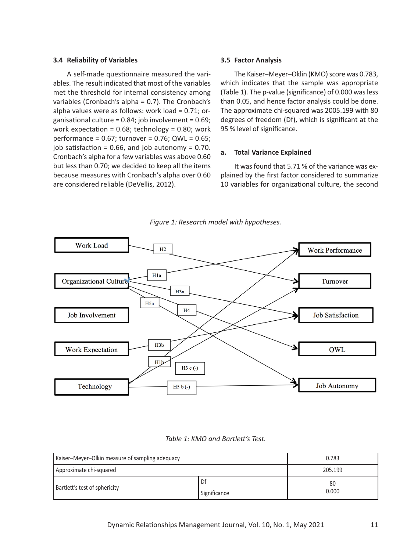#### **3.4 Reliability of Variables**

A self‐made questionnaire measured the vari‐ ables. The result indicated that most of the variables met the threshold for internal consistency among variables (Cronbach's alpha = 0.7). The Cronbach's alpha values were as follows: work load = 0.71; or‐ ganisational culture = 0.84; job involvement = 0.69; work expectation =  $0.68$ ; technology =  $0.80$ ; work performance = 0.67; turnover = 0.76; QWL = 0.65; job satisfaction =  $0.66$ , and job autonomy =  $0.70$ . Cronbach's alpha for a few variables was above 0.60 but less than 0.70; we decided to keep all the items because measures with Cronbach's alpha over 0.60 are considered reliable (DeVellis, 2012).

#### **3.5 Factor Analysis**

The Kaiser–Meyer–Oklin (KMO) score was 0.783, which indicates that the sample was appropriate (Table 1). The p‐value (significance) of 0.000 was less than 0.05, and hence factor analysis could be done. The approximate chi‐squared was 2005.199 with 80 degrees of freedom (Df), which is significant at the 95 % level of significance.

#### **a. Total Variance Explained**

It was found that 5.71 % of the variance was ex‐ plained by the first factor considered to summarize 10 variables for organizational culture, the second



*Figure 1: Research model with hypotheses.*

| Table 1: KMO and Bartlett's Test. |
|-----------------------------------|
|-----------------------------------|

| Kaiser-Meyer-Olkin measure of sampling adequacy | 0.783        |         |
|-------------------------------------------------|--------------|---------|
| Approximate chi-squared                         |              | 205.199 |
| Bartlett's test of sphericity                   | Df           | 80      |
|                                                 | Significance | 0.000   |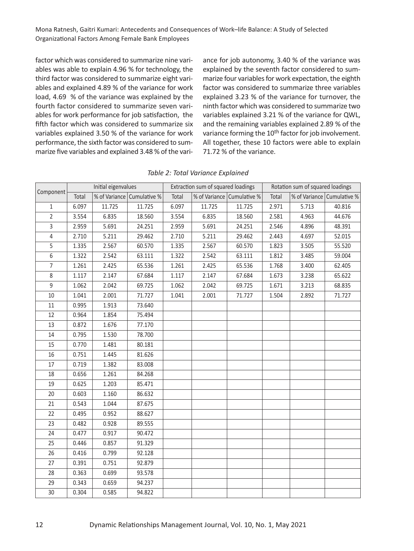factor which was considered to summarize nine vari‐ ables was able to explain 4.96 % for technology, the third factor was considered to summarize eight vari‐ ables and explained 4.89 % of the variance for work load, 4.69 % of the variance was explained by the fourth factor considered to summarize seven vari‐ ables for work performance for job satisfaction, the fifth factor which was considered to summarize six variables explained 3.50 % of the variance for work performance, the sixth factor was considered to sum‐ marize five variables and explained 3.48 % of the vari‐ ance for job autonomy, 3.40 % of the variance was explained by the seventh factor considered to sum‐ marize four variables for work expectation, the eighth factor was considered to summarize three variables explained 3.23 % of the variance for turnover, the ninth factor which was considered to summarize two variables explained 3.21 % of the variance for QWL, and the remaining variables explained 2.89 % of the variance forming the 10<sup>th</sup> factor for job involvement. All together, these 10 factors were able to explain 71.72 % of the variance.

| Component      | Initial eigenvalues |        |                            |       | Extraction sum of squared loadings |                            | Rotation sum of squared loadings |       |                            |  |  |
|----------------|---------------------|--------|----------------------------|-------|------------------------------------|----------------------------|----------------------------------|-------|----------------------------|--|--|
|                | Total               |        | % of Variance Cumulative % | Total |                                    | % of Variance Cumulative % | Total                            |       | % of Variance Cumulative % |  |  |
| $\mathbf{1}$   | 6.097               | 11.725 | 11.725                     | 6.097 | 11.725                             | 11.725                     | 2.971                            | 5.713 | 40.816                     |  |  |
| $\overline{2}$ | 3.554               | 6.835  | 18.560                     | 3.554 | 6.835                              | 18.560                     | 2.581                            | 4.963 | 44.676                     |  |  |
| $\overline{3}$ | 2.959               | 5.691  | 24.251                     | 2.959 | 5.691                              | 24.251                     | 2.546                            | 4.896 | 48.391                     |  |  |
| $\overline{4}$ | 2.710               | 5.211  | 29.462                     | 2.710 | 5.211                              | 29.462                     | 2.443                            | 4.697 | 52.015                     |  |  |
| 5              | 1.335               | 2.567  | 60.570                     | 1.335 | 2.567                              | 60.570                     | 1.823                            | 3.505 | 55.520                     |  |  |
| 6              | 1.322               | 2.542  | 63.111                     | 1.322 | 2.542                              | 63.111                     | 1.812                            | 3.485 | 59.004                     |  |  |
| $\overline{7}$ | 1.261               | 2.425  | 65.536                     | 1.261 | 2.425                              | 65.536                     | 1.768                            | 3.400 | 62.405                     |  |  |
| 8              | 1.117               | 2.147  | 67.684                     | 1.117 | 2.147                              | 67.684                     | 1.673                            | 3.238 | 65.622                     |  |  |
| 9              | 1.062               | 2.042  | 69.725                     | 1.062 | 2.042                              | 69.725                     | 1.671                            | 3.213 | 68.835                     |  |  |
| 10             | 1.041               | 2.001  | 71.727                     | 1.041 | 2.001                              | 71.727                     | 1.504                            | 2.892 | 71.727                     |  |  |
| 11             | 0.995               | 1.913  | 73.640                     |       |                                    |                            |                                  |       |                            |  |  |
| 12             | 0.964               | 1.854  | 75.494                     |       |                                    |                            |                                  |       |                            |  |  |
| 13             | 0.872               | 1.676  | 77.170                     |       |                                    |                            |                                  |       |                            |  |  |
| 14             | 0.795               | 1.530  | 78.700                     |       |                                    |                            |                                  |       |                            |  |  |
| 15             | 0.770               | 1.481  | 80.181                     |       |                                    |                            |                                  |       |                            |  |  |
| 16             | 0.751               | 1.445  | 81.626                     |       |                                    |                            |                                  |       |                            |  |  |
| 17             | 0.719               | 1.382  | 83.008                     |       |                                    |                            |                                  |       |                            |  |  |
| 18             | 0.656               | 1.261  | 84.268                     |       |                                    |                            |                                  |       |                            |  |  |
| 19             | 0.625               | 1.203  | 85.471                     |       |                                    |                            |                                  |       |                            |  |  |
| 20             | 0.603               | 1.160  | 86.632                     |       |                                    |                            |                                  |       |                            |  |  |
| 21             | 0.543               | 1.044  | 87.675                     |       |                                    |                            |                                  |       |                            |  |  |
| 22             | 0.495               | 0.952  | 88.627                     |       |                                    |                            |                                  |       |                            |  |  |
| 23             | 0.482               | 0.928  | 89.555                     |       |                                    |                            |                                  |       |                            |  |  |
| 24             | 0.477               | 0.917  | 90.472                     |       |                                    |                            |                                  |       |                            |  |  |
| 25             | 0.446               | 0.857  | 91.329                     |       |                                    |                            |                                  |       |                            |  |  |
| 26             | 0.416               | 0.799  | 92.128                     |       |                                    |                            |                                  |       |                            |  |  |
| 27             | 0.391               | 0.751  | 92.879                     |       |                                    |                            |                                  |       |                            |  |  |
| 28             | 0.363               | 0.699  | 93.578                     |       |                                    |                            |                                  |       |                            |  |  |
| 29             | 0.343               | 0.659  | 94.237                     |       |                                    |                            |                                  |       |                            |  |  |
| 30             | 0.304               | 0.585  | 94.822                     |       |                                    |                            |                                  |       |                            |  |  |

*Table 2: Total Variance Explained*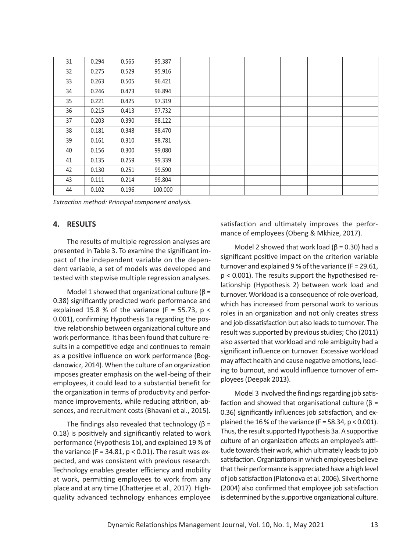| 31 | 0.294 | 0.565 | 95.387  |  |  |  |
|----|-------|-------|---------|--|--|--|
| 32 | 0.275 | 0.529 | 95.916  |  |  |  |
| 33 | 0.263 | 0.505 | 96.421  |  |  |  |
| 34 | 0.246 | 0.473 | 96.894  |  |  |  |
| 35 | 0.221 | 0.425 | 97.319  |  |  |  |
| 36 | 0.215 | 0.413 | 97.732  |  |  |  |
| 37 | 0.203 | 0.390 | 98.122  |  |  |  |
| 38 | 0.181 | 0.348 | 98.470  |  |  |  |
| 39 | 0.161 | 0.310 | 98.781  |  |  |  |
| 40 | 0.156 | 0.300 | 99.080  |  |  |  |
| 41 | 0.135 | 0.259 | 99.339  |  |  |  |
| 42 | 0.130 | 0.251 | 99.590  |  |  |  |
| 43 | 0.111 | 0.214 | 99.804  |  |  |  |
| 44 | 0.102 | 0.196 | 100.000 |  |  |  |
|    |       |       |         |  |  |  |

*Extraction method: Principal component analysis.*

### **4. RESULTS**

The results of multiple regression analyses are presented in Table 3. To examine the significant im‐ pact of the independent variable on the depen‐ dent variable, a set of models was developed and tested with stepwise multiple regression analyses.

Model 1 showed that organizational culture ( $\beta$  = 0.38) significantly predicted work performance and explained 15.8 % of the variance (F = 55.73,  $p \le$ 0.001), confirming Hypothesis 1a regarding the pos‐ itive relationship between organizational culture and work performance. It has been found that culture re‐ sults in a competitive edge and continues to remain as a positive influence on work performance (Bog‐ danowicz, 2014). When the culture of an organization imposes greater emphasis on the well‐being of their employees, it could lead to a substantial benefit for the organization in terms of productivity and perfor‐ mance improvements, while reducing attrition, ab‐ sences, and recruitment costs (Bhavani et al., 2015).

The findings also revealed that technology ( $\beta$  = 0.18) is positively and significantly related to work performance (Hypothesis 1b), and explained 19 % of the variance (F = 34.81,  $p < 0.01$ ). The result was expected, and was consistent with previous research. Technology enables greater efficiency and mobility at work, permitting employees to work from any place and at any time (Chatterjee et al., 2017). High‐ quality advanced technology enhances employee

satisfaction and ultimately improves the perfor‐ mance of employees (Obeng & Mkhize, 2017).

Model 2 showed that work load ( $β = 0.30$ ) had a significant positive impact on the criterion variable turnover and explained 9 % of the variance (F = 29.61, p < 0.001). The results support the hypothesised re‐ lationship (Hypothesis 2) between work load and turnover. Workload is a consequence of role overload, which has increased from personal work to various roles in an organization and not only creates stress and job dissatisfaction but also leads to turnover. The result was supported by previous studies; Cho (2011) also asserted that workload and role ambiguity had a significant influence on turnover. Excessive workload may affect health and cause negative emotions, lead‐ ing to burnout, and would influence turnover of em‐ ployees (Deepak 2013).

Model 3 involved the findings regarding job satis‐ faction and showed that organisational culture (β = 0.36) significantly influences job satisfaction, and ex‐ plained the 16 % of the variance (F = 58.34,  $p < 0.001$ ). Thus, the result supported Hypothesis 3a. A supportive culture of an organization affects an employee's atti‐ tude towards their work, which ultimately leads to job satisfaction. Organizations in which employees believe that their performance is appreciated have a high level of job satisfaction (Platonova et al. 2006). Silverthorne (2004) also confirmed that employee job satisfaction is determined by the supportive organizational culture.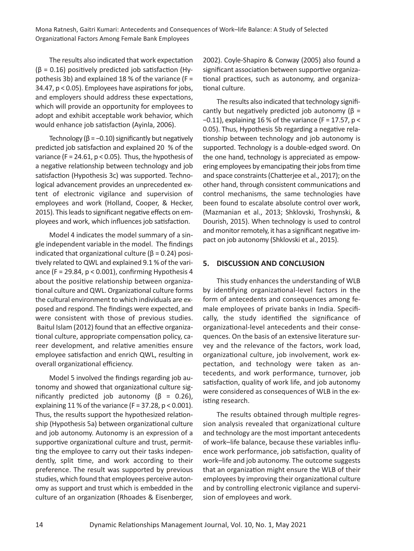The results also indicated that work expectation (β = 0.16) positively predicted job satisfaction (Hy‐ pothesis 3b) and explained 18 % of the variance ( $F =$ 34.47, p < 0.05). Employees have aspirations for jobs, and employers should address these expectations, which will provide an opportunity for employees to adopt and exhibit acceptable work behavior, which would enhance job satisfaction (Ayinla, 2006).

Technology ( $\beta$  = -0.10) significantly but negatively predicted job satisfaction and explained 20 % of the variance (F = 24.61,  $p$  < 0.05). Thus, the hypothesis of a negative relationship between technology and job satisfaction (Hypothesis 3c) was supported. Techno‐ logical advancement provides an unprecedented ex‐ tent of electronic vigilance and supervision of employees and work (Holland, Cooper, & Hecker, 2015). This leads to significant negative effects on em‐ ployees and work, which influences job satisfaction.

Model 4 indicates the model summary of a single independent variable in the model. The findings indicated that organizational culture ( $\beta$  = 0.24) positively related to QWL and explained 9.1 % of the vari‐ ance (F = 29.84,  $p < 0.001$ ), confirming Hypothesis 4 about the positive relationship between organiza‐ tional culture and QWL. Organizational culture forms the cultural environment to which individuals are ex‐ posed and respond. The findings were expected, and were consistent with those of previous studies. Baitul Islam (2012) found that an effective organiza‐ tional culture, appropriate compensation policy, ca‐ reer development, and relative amenities ensure employee satisfaction and enrich QWL, resulting in overall organizational efficiency.

Model 5 involved the findings regarding job au‐ tonomy and showed that organizational culture sig‐ nificantly predicted job autonomy ( $\beta$  = 0.26), explaining 11 % of the variance  $(F = 37.28, p < 0.001)$ . Thus, the results support the hypothesized relation‐ ship (Hypothesis 5a) between organizational culture and job autonomy. Autonomy is an expression of a supportive organizational culture and trust, permit‐ ting the employee to carry out their tasks indepen‐ dently, split time, and work according to their preference. The result was supported by previous studies, which found that employees perceive auton‐ omy as support and trust which is embedded in the culture of an organization (Rhoades & Eisenberger, 2002). Coyle‐Shapiro & Conway (2005) also found a significant association between supportive organiza‐ tional practices, such as autonomy, and organiza‐ tional culture.

The results also indicated that technology signifi‐ cantly but negatively predicted job autonomy  $(\beta =$ −0.11), explaining 16 % of the variance (F = 17.57, p < 0.05). Thus, Hypothesis 5b regarding a negative rela‐ tionship between technology and job autonomy is supported. Technology is a double‐edged sword. On the one hand, technology is appreciated as empow‐ ering employees by emancipating their jobs from time and space constraints (Chatterjee et al., 2017); on the other hand, through consistent communications and control mechanisms, the same technologies have been found to escalate absolute control over work, (Mazmanian et al., 2013; Shklovski, Troshynski, & Dourish, 2015). When technology is used to control and monitor remotely, it has a significant negative im‐ pact on job autonomy (Shklovski et al., 2015).

### **5. DISCUSSION AND CONCLUSION**

This study enhances the understanding of WLB by identifying organizational‐level factors in the form of antecedents and consequences among fe‐ male employees of private banks in India. Specifi‐ cally, the study identified the significance of organizational‐level antecedents and their conse‐ quences. On the basis of an extensive literature sur‐ vey and the relevance of the factors, work load, organizational culture, job involvement, work ex‐ pectation, and technology were taken as an‐ tecedents, and work performance, turnover, job satisfaction, quality of work life, and job autonomy were considered as consequences of WLB in the existing research.

The results obtained through multiple regres‐ sion analysis revealed that organizational culture and technology are the most important antecedents of work–life balance, because these variables influ‐ ence work performance, job satisfaction, quality of work–life and job autonomy. The outcome suggests that an organization might ensure the WLB of their employees by improving their organizational culture and by controlling electronic vigilance and supervi‐ sion of employees and work.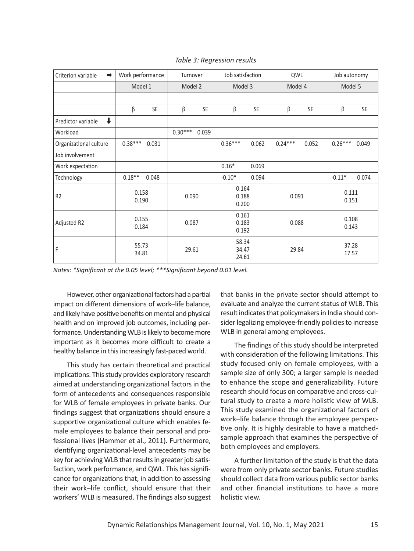| Criterion variable<br>$\Rightarrow$ | Work performance |           | Turnover  |           | Job satisfaction        |                                  | QWL       |                | Job autonomy   |       |
|-------------------------------------|------------------|-----------|-----------|-----------|-------------------------|----------------------------------|-----------|----------------|----------------|-------|
|                                     | Model 1          |           | Model 2   |           | Model 3                 |                                  | Model 4   |                | Model 5        |       |
|                                     |                  |           |           |           |                         |                                  |           |                |                |       |
|                                     | β                | <b>SE</b> | β         | <b>SE</b> | β                       | <b>SE</b>                        | β         | <b>SE</b>      | β              | SE    |
| $\downarrow$<br>Predictor variable  |                  |           |           |           |                         |                                  |           |                |                |       |
| Workload                            |                  |           | $0.30***$ | 0.039     |                         |                                  |           |                |                |       |
| Organizational culture              | $0.38***$        | 0.031     |           |           | $0.36***$               | 0.062                            | $0.24***$ | 0.052          | $0.26***$      | 0.049 |
| Job involvement                     |                  |           |           |           |                         |                                  |           |                |                |       |
| Work expectation                    |                  |           |           |           | $0.16*$                 | 0.069                            |           |                |                |       |
| Technology                          | $0.18**$         | 0.048     |           |           | $-0.10*$                | 0.094                            |           |                | $-0.11*$       | 0.074 |
| R <sub>2</sub>                      | 0.158<br>0.190   |           | 0.090     |           | 0.164<br>0.188<br>0.200 |                                  | 0.091     |                | 0.111<br>0.151 |       |
| Adjusted R2                         | 0.155<br>0.184   |           | 0.087     |           | 0.161<br>0.183<br>0.192 |                                  | 0.088     |                | 0.108<br>0.143 |       |
| F                                   | 55.73<br>34.81   |           | 29.61     |           |                         | 58.34<br>29.84<br>34.47<br>24.61 |           | 37.28<br>17.57 |                |       |

*Table 3: Regression results*

*Notes: \*Significant at the 0.05 level; \*\*\*Significant beyond 0.01 level.*

However, other organizational factors had a partial impact on different dimensions of work–life balance, and likely have positive benefits on mental and physical health and on improved job outcomes, including per‐ formance. Understanding WLB is likely to become more important as it becomes more difficult to create a healthy balance in this increasingly fast-paced world.

This study has certain theoretical and practical implications. This study provides exploratory research aimed at understanding organizational factors in the form of antecedents and consequences responsible for WLB of female employees in private banks. Our findings suggest that organizations should ensure a supportive organizational culture which enables fe‐ male employees to balance their personal and pro‐ fessional lives (Hammer et al., 2011). Furthermore, identifying organizational‐level antecedents may be key for achieving WLB that results in greater job satis‐ faction, work performance, and QWL. This has signifi‐ cance for organizations that, in addition to assessing their work–life conflict, should ensure that their workers' WLB is measured. The findings also suggest

that banks in the private sector should attempt to evaluate and analyze the current status of WLB. This result indicates that policymakers in India should con‐ sider legalizing employee‐friendly policies to increase WLB in general among employees.

The findings of this study should be interpreted with consideration of the following limitations. This study focused only on female employees, with a sample size of only 300; a larger sample is needed to enhance the scope and generalizability. Future research should focus on comparative and cross‐cul‐ tural study to create a more holistic view of WLB. This study examined the organizational factors of work–life balance through the employee perspec‐ tive only. It is highly desirable to have a matched‐ sample approach that examines the perspective of both employees and employers.

A further limitation of the study is that the data were from only private sector banks. Future studies should collect data from various public sector banks and other financial institutions to have a more holistic view.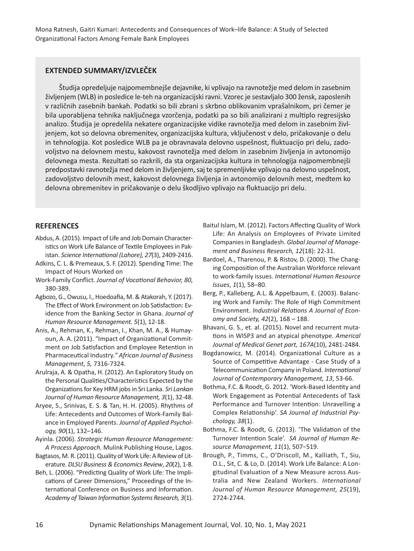### **EXTENDED SUMMARY/IZVLEČEK**

Študija opredeljuje najpomembnejše dejavnike, ki vplivajo na ravnotežje med delom in zasebnim življenjem (WLB) in posledice le‐teh na organizacijski ravni. Vzorec je sestavljalo 300 žensk, zaposlenih v različnih zasebnih bankah. Podatki so bili zbrani s skrbno oblikovanim vprašalnikom, pri čemer je bila uporabljena tehnika naključnega vzorčenja, podatki pa so bili analizirani z multiplo regresijsko analizo. Študija je opredelila nekatere organizacijske vidike ravnotežja med delom in zasebnim živl‐ jenjem, kot so delovna obremenitev, organizacijska kultura, vključenost v delo, pričakovanje o delu in tehnologija. Kot posledice WLB pa je obravnavala delovno uspešnost, fluktuacijo pri delu, zado‐ voljstvo na delovnem mestu, kakovost ravnotežja med delom in zasebnim življenja in avtonomijo delovnega mesta. Rezultati so razkrili, da sta organizacijska kultura in tehnologija najpomembnejši predpostavki ravnotežja med delom in življenjem, saj te spremenljivke vplivajo na delovno uspešnost, zadovoljstvo delovnih mest, kakovost delovnega življenja in avtonomijo delovnih mest, medtem ko delovna obremenitev in pričakovanje o delu škodljivo vplivajo na fluktuacijo pri delu.

### **REFERENCES**

- Abdus, A. (2015). Impact of Life and Job Domain Character‐ istics on Work Life Balance of Textile Employees in Pak‐ istan. *Science International (Lahore), 27*(3), 2409‐2416.
- Adkins, C. L. & Premeaux, S. F. (2012). Spending Time: The Impact of Hours Worked on
- Work‐Family Conflict. *Journal of Vocational Behavior, 80,* 380‐389.
- Agbozo, G., Owusu, I., Hoedoafia, M. & Atakorah, Y. (2017). The Effect of Work Environment on Job Satisfaction: Ev‐ idence from the Banking Sector in Ghana. *Journal of Human Resource Management. 5*(1), 12‐18.
- Anis, A., Rehman, K., Rehman, I., Khan, M. A., & Humay‐ oun, A. A. (2011). "Impact of Organizational Commitment on Job Satisfaction and Employee Retention in Pharmaceutical Industry*." African Journal of Business Management*, *5,* 7316‐7324.
- Arulraja, A. & Opatha, H. (2012). An Exploratory Study on the Personal Qualities/Characteristics Expected by the Organizations for Key HRM jobs in Sri Lanka. *Sri Lankan Journal of Human Resource Management, 3*(1), 32‐48.
- Aryee, S., Srinivas, E. S. & Tan, H. H. (2005). Rhythms of Life: Antecedents and Outcomes of Work‐Family Bal‐ ance in Employed Parents. *Journal of Applied Psychol‐ ogy, 90*(1), 132–146.

Ayinla. (2006). *Strategic Human Resource Management: A Process Approach.* Mulink Publishing House, Lagos.

- Bagtasos, M. R. (2011). Quality of Work Life: A Review of Lit‐ erature. *DLSU Business & Economics Review*, *20*(2), 1‐8.
- Beh, L. (2006). "Predicting Quality of Work Life: The Impli‐ cations of Career Dimensions," Proceedings of the In‐ ternational Conference on Business and Information. *Academy of Taiwan Information Systems Research, 3*(1).
- Baitul Islam, M. (2012). Factors Affecting Quality of Work Life: An Analysis on Employees of Private Limited Companies in Bangladesh. *Global Journal of Manage‐ ment and Business Research, 12*(18): 22‐31.
- Bardoel, A., Tharenou, P. & Ristov, D. (2000). The Chang‐ ing Composition of the Australian Workforce relevant to work‐family issues. *International Human Resource Issues*, *1*(1), 58–80.
- Berg, P., Kalleberg, A.L. & Appelbaum, E. (2003). Balanc‐ ing Work and Family: The Role of High Commitment Environment. *Industrial Relations A Journal of Econ‐ omy and Society, 42*(2), 168 – 188.
- Bhavani, G. S., et. al. (2015). Novel and recurrent muta‐ tions in WISP3 and an atypical phenotype. *Americal Journal of Medical Genet part, 167A*(10), 2481‐2484.
- Bogdanowicz, M. (2014). Organizational Culture as a Source of Competitive Advantage ‐ Case Study of a Telecommunication Company in Poland. *International Journal of Contemporary Management, 13*, 53‐66.
- Bothma, F.C. & Roodt, G. 2012. 'Work‐Based Identity and Work Engagement as Potential Antecedents of Task Performance and Turnover Intention: Unravelling a Complex Relationship'. *SA Journal of Industrial Psy‐ chology, 38*(1).
- Bothma, F.C. & Roodt, G. (2013). 'The Validation of the Turnover Intention Scale'. *SA Journal of Human Re‐ source Management, 11*(1), 507−519.
- Brough, P., Timms, C., O'Driscoll, M., Kalliath, T., Siu, O.L., Sit, C. & Lo, D. (2014). Work Life Balance: A Lon‐ gitudinal Evaluation of a New Measure across Aus‐ tralia and New Zealand Workers. *International Journal of Human Resource Management, 25*(19), 2724‐2744.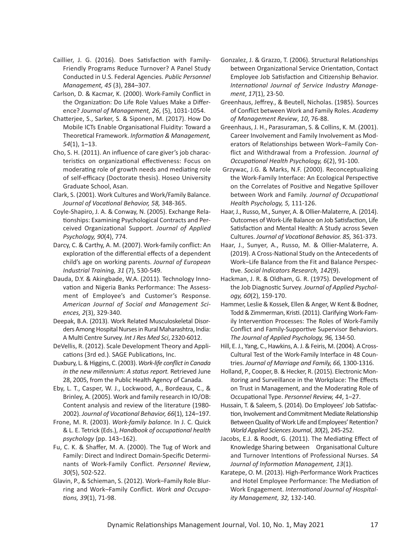- Caillier, J. G. (2016). Does Satisfaction with Family‐ Friendly Programs Reduce Turnover? A Panel Study Conducted in U.S. Federal Agencies. *Public Personnel Management, 45* (3), 284–307.
- Carlson, D. & Kacmar, K. (2000). Work‐Family Conflict in the Organization: Do Life Role Values Make a Differ‐ ence? *Journal of Management, 26*, (5), 1031‐1054.
- Chatterjee, S., Sarker, S. & Siponen, M. (2017). How Do Mobile ICTs Enable Organisational Fluidity: Toward a Theoretical Framework. *Information & Management, 54*(1), 1–13.
- Cho, S. H. (2011). An influence of care giver's job charac‐ teristics on organizational effectiveness: Focus on moderating role of growth needs and mediating role of self‐efficacy (Doctorate thesis). Hoseo University Graduate School, Asan.
- Clark, S. (2001). Work Cultures and Work/Family Balance. *Journal of Vocational Behavior, 58,* 348‐365.
- Coyle‐Shapiro, J. A. & Conway, N. (2005). Exchange Rela‐ tionships: Examining Psychological Contracts and Per‐ ceived Organizational Support. *Journal of Applied Psychology, 90*(4), 774.
- Darcy, C. & Carthy, A. M. (2007). Work‐family conflict: An exploration of the differential effects of a dependent child's age on working parents. *Journal of European Industrial Training, 31* (7), 530‐549.
- Dauda, D.Y. & Akingbade, W.A. (2011). Technology Inno‐ vation and Nigeria Banks Performance: The Assess‐ ment of Employee's and Customer's Response. *American Journal of Social and Management Sci‐ ences, 2*(3), 329‐340.
- Deepak, B.A. (2013). Work Related Musculoskeletal Disor‐ ders Among Hospital Nurses in Rural Maharashtra, India: A Multi Centre Survey. *Int J Res Med Sci*, 2320‐6012.
- DeVellis, R. (2012). Scale Development Theory and Appli‐ cations (3rd ed.). SAGE Publications, Inc.
- Duxbury, L. & Higgins, C. (2003). *Work‐life conflict in Canada in the new millennium: A status report.* Retrieved June 28, 2005, from the Public Health Agency of Canada.
- Eby, L. T., Casper, W. J., Lockwood, A., Bordeaux, C., & Brinley, A. (2005). Work and family research in IO/OB: Content analysis and review of the literature (1980‐ 2002). *Journal of Vocational Behavior, 66*(1), 124–197.
- Frone, M. R. (2003). *Work‐family balance.* In J. C. Quick & L. E. Tetrick (Eds.), *Handbook of occupational health psychology* (pp. 143–162).
- Fu, C. K. & Shaffer, M. A. (2000). The Tug of Work and Family: Direct and Indirect Domain‐Specific Determi‐ nants of Work‐Family Conflict. *Personnel Review*, *30*(5), 502‐522.
- Glavin, P., & Schieman, S. (2012). Work–Family Role Blur‐ ring and Work–Family Conflict. *Work and Occupa‐ tions, 39*(1), 71‐98.
- Gonzalez, J. & Grazzo, T. (2006). Structural Relationships between Organizational Service Orientation, Contact Employee Job Satisfaction and Citizenship Behavior. *International Journal of Service Industry Manage‐ ment*, *17*(1), 23‐50.
- Greenhaus, Jeffrey., & Beutell, Nicholas. (1985). Sources of Conflict between Work and Family Roles. *Academy of Management Review*, *10*, 76‐88.
- Greenhaus, J. H., Parasuraman, S. & Collins, K. M. (2001). Career Involvement and Family Involvement as Mod‐ erators of Relationships between Work–Family Con‐ flict and Withdrawal from a Profession. *Journal of Occupational Health Psychology, 6*(2), 91‐100.
- Grzywac, J.G. & Marks, N.F. (2000). Reconceptualizing the Work‐Family Interface: An Ecological Perspective on the Correlates of Positive and Negative Spillover between Work and Family. *Journal of Occupational Health Psychology, 5,* 111‐126.
- Haar, J., Russo, M., Sunyer, A. & Ollier‐Malaterre, A. (2014). Outcomes of Work‐Life Balance on Job Satisfaction, Life Satisfaction and Mental Health: A Study across Seven Cultures. *Journal of Vocational Behavior. 85,* 361‐373.
- Haar, J., Sunyer, A., Russo, M. & Ollier‐Malaterre, A. (2019). A Cross‐National Study on the Antecedents of Work–Life Balance from the Fit and Balance Perspec‐ tive. *Social Indicators Research, 142*(9).
- Hackman, J. R. & Oldham, G. R. (1975). Development of the Job Diagnostic Survey. *Journal of Applied Psychol‐ ogy, 60*(2), 159‐170.
- Hammer, Leslie & Kossek, Ellen & Anger, W Kent & Bodner, Todd & Zimmerman, Kristi. (2011). Clarifying Work‐Fam‐ ily Intervention Processes: The Roles of Work‐Family Conflict and Family‐Supportive Supervisor Behaviors. *The Journal of Applied Psychology, 96,* 134‐50.
- Hill, E. J., Yang, C., Hawkins, A. J. & Feiris, M. (2004). A Cross‐ Cultural Test of the Work‐Family Interface in 48 Coun‐ tries. *Journal of Marriage and Family, 66,* 1300‐1316.
- Holland, P., Cooper, B. & Hecker, R. (2015). Electronic Mon‐ itoring and Surveillance in the Workplace: The Effects on Trust in Management, and the Moderating Role of Occupational Type. *Personnel Review, 44*, 1–27.
- Hussain, T. & Saleem, S. (2014). Do Employees' Job Satisfac‐ tion, Involvement and Commitment Mediate Relationship Between Quality of Work Life and Employees' Retention? *World Applied Sciences Journal*, *30*(2), 245‐252.
- Jacobs, E.J. & Roodt, G. (2011). The Mediating Effect of Knowledge Sharing between Organisational Culture and Turnover Intentions of Professional Nurses. *SA Journal of Information Management, 13*(1).
- Karatepe, O. M. (2013). High‐Performance Work Practices and Hotel Employee Performance: The Mediation of Work Engagement. *International Journal of Hospital‐ ity Management, 32,* 132‐140.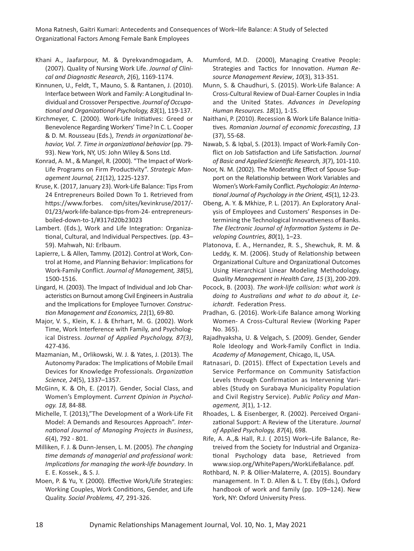Khani Α., Jaafarpour, M. & Dyrekvandmogadam, A. (2007). Quality of Nursing Work Life. *Journal of Clini‐ cal and Diagnostic Research*, *2*(6), 1169‐1174.

Kinnunen, U., Feldt, T., Mauno, S. & Rantanen, J. (2010). Interface between Work and Family: A Longitudinal In‐ dividual and Crossover Perspective. *Journal of Occupa‐ tional and Organizational Psychology, 83*(1), 119‐137.

Kirchmeyer, C. (2000). Work‐Life Initiatives: Greed or Benevolence Regarding Workers' Time? In C. L. Cooper & D. M. Rousseau (Eds.), *Trends in organizational be‐ havior, Vol. 7. Time in organizational behavior* (pp. 79‐ 93). New York, NY, US: John Wiley & Sons Ltd.

Konrad, A. M., & Mangel, R. (2000). "The Impact of Work‐ Life Programs on Firm Productivity". *Strategic Man‐ agement Journal, 21*(12), 1225‐1237.

Kruse, K. (2017, January 23). Work‐Life Balance: Tips From 24 Entrepreneurs Boiled Down To 1. Retrieved from https://www.forbes. com/sites/kevinkruse/2017/-01/23/work-life-balance-tips-from-24- entrepreneursboiled‐down‐to‐1/#317d20b23023

Lambert. (Eds.), Work and Life Integration: Organiza‐ tional, Cultural, and Individual Perspectives. (pp. 43– 59). Mahwah, NJ: Erlbaum.

Lapierre, L. & Allen, Tammy. (2012). Control at Work, Con‐ trol at Home, and Planning Behavior: Implications for Work‐Family Conflict. *Journal of Management, 38*(5), 1500‐1516.

Lingard, H. (2003). The Impact of Individual and Job Char‐ acteristics on Burnout among Civil Engineers in Australia and the Implications for Employee Turnover. *Construc‐ tion Management and Economics, 21*(1), 69‐80.

Major, V. S., Klein, K. J. & Ehrhart, M. G. (2002). Work Time, Work Interference with Family, and Psycholog‐ ical Distress. *Journal of Applied Psychology, 87(3)*, 427‐436.

Mazmanian, M., Orlikowski, W. J. & Yates, J. (2013). The Autonomy Paradox: The Implications of Mobile Email Devices for Knowledge Professionals. *Organization Science, 24*(5), 1337–1357.

McGinn, K. & Oh, E. (2017). Gender, Social Class, and Women's Employment. *Current Opinion in Psychol‐ ogy. 18,* 84‐88*.*

Michelle, T. (2013),"The Development of a Work‐Life Fit Model: A Demands and Resources Approach". *Inter‐ national Journal of Managing Projects in Business*, *6*(4), 792 ‐ 801.

Milliken, F. J. & Dunn‐Jensen, L. M. (2005). *The changing time demands of managerial and professional work: Implications for managing the work‐life boundary*. In E. E. Kossek., & S. J.

Moen, P. & Yu, Y. (2000). Effective Work/Life Strategies: Working Couples, Work Conditions, Gender, and Life Quality. *Social Problems, 47,* 291‐326.

Mumford, M.D. (2000), Managing Creative People: Strategies and Tactics for Innovation. *Human Re‐ source Management Review*, *10*(3), 313‐351.

Munn, S. & Chaudhuri, S. (2015). Work‐Life Balance: A Cross‐Cultural Review of Dual‐Earner Couples in India and the United States. *Advances in Developing Human Resources. 18*(1), 1‐15.

Naithani, P. (2010). Recession & Work Life Balance Initia‐ tives*. Romanian Journal of economic forecasting*, *13* (37), 55‐68.

Nawab, S. & Iqbal, S. (2013). Impact of Work‐Family Con‐ flict on Job Satisfaction and Life Satisfaction*. Journal of Basic and Applied Scientific Research, 3*(7), 101‐110.

Noor, N. M. (2002). The Moderating Effect of Spouse Sup‐ port on the Relationship between Work Variables and Women's Work‐Family Conflict. *Psychologia: An Interna‐ tional Journal of Psychology in the Orient, 45*(1), 12‐23.

Obeng, A. Y. & Mkhize, P. L. (2017). An Exploratory Anal‐ ysis of Employees and Customers' Responses in De‐ termining the Technological Innovativeness of Banks. *The Electronic Journal of Information Systems in De‐ veloping Countries, 80*(1), 1–23.

Platonova, E. A., Hernandez, R. S., Shewchuk, R. M. & Leddy, K. M. (2006). Study of Relationship between Organizational Culture and Organizational Outcomes Using Hierarchical Linear Modeling Methodology. *Quality Management in Health Care, 15* (3), 200‐209.

Pocock, B. (2003). *The work‐life collision: what work is doing to Australians and what to do about it, Le‐ ichardt*. Federation Press.

Pradhan, G. (2016). Work‐Life Balance among Working Women‐ A Cross‐Cultural Review (Working Paper No. 365).

Rajadhyaksha, U. & Velgach, S. (2009). Gender, Gender Role Ideology and Work‐Family Conflict in India. *Academy of Management*, Chicago, IL, USA.

Ratnasari, D. (2015). Effect of Expectation Levels and Service Performance on Community Satisfaction Levels through Confirmation as Intervening Vari‐ ables (Study on Surabaya Municipality Population and Civil Registry Service). *Public Policy and Man‐ agement, 3*(1), 1‐12.

Rhoades, L. & Eisenberger, R. (2002). Perceived Organi‐ zational Support: A Review of the Literature. *Journal of Applied Psychology, 87*(4), 698.

Rife, A. A.,& Hall, R.J. ( 2015) Work–Life Balance, Re‐ treived from the Society for Industrial and Organiza‐ tional Psychology data base, Retrieved from www.siop.org/WhitePapers/WorkLifeBalance. pdf.

Rothbard, N. P. & Ollier‐Malaterre, A. (2015). Boundary management. In T. D. Allen & L. T. Eby (Eds.), Oxford handbook of work and family (pp. 109–124). New York, NY: Oxford University Press.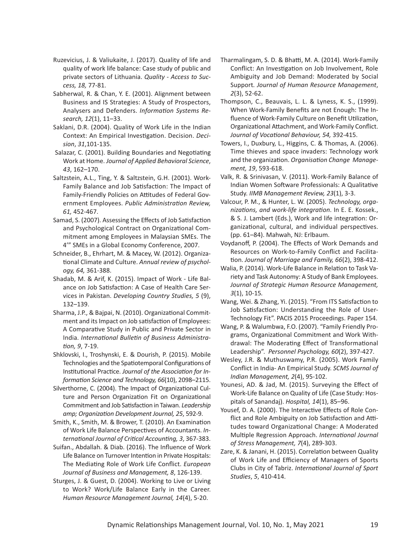- Ruzevicius, J. & Valiukaite, J. (2017). Quality of life and quality of work life balance: Case study of public and private sectors of Lithuania. *Quality ‐ Access to Suc‐ cess, 18,* 77‐81.
- Sabherwal, R. & Chan, Y. E. (2001). Alignment between Business and IS Strategies: A Study of Prospectors, Analysers and Defenders. *Information Systems Re‐ search, 12*(1), 11–33.
- Saklani, D.R. (2004). Quality of Work Life in the Indian Context: An Empirical Investigation. Decision. *Deci‐ sion*, *31*,101‐135.
- Salazar, C. (2001). Building Boundaries and Negotiating Work at Home. *Journal of Applied Behavioral Science*, *43*, 162–170.
- Saltzstein, A.L., Ting, Y. & Saltzstein, G.H. (2001). Work‐ Family Balance and Job Satisfaction: The Impact of Family‐Friendly Policies on Attitudes of Federal Gov‐ ernment Employees. *Public Administration Review, 61,* 452‐467.
- Samad, S. (2007). Assessing the Effects of Job Satisfaction and Psychological Contract on Organizational Com‐ mitment among Employees in Malaysian SMEs. The 4'" SMEs in a Global Economy Conference, 2007.
- Schneider, B., Ehrhart, M. & Macey, W. (2012). Organiza‐ tional Climate and Culture. *Annual review of psychol‐ ogy, 64,* 361‐388.
- Shadab, M. & Arif, K. (2015). Impact of Work ‐ Life Bal‐ ance on Job Satisfaction: A Case of Health Care Ser‐ vices in Pakistan. *Developing Country Studies, 5* (9), 132–139.
- Sharma, J.P., & Bajpai, N. (2010). Organizational Commit‐ ment and its Impact on Job satisfaction of Employees: A Comparative Study in Public and Private Sector in India. *International Bulletin of Business Administra‐ tion, 9*, 7‐19.
- Shklovski, I., Troshynski, E. & Dourish, P. (2015). Mobile Technologies and the Spatiotemporal Configurations of Institutional Practice. *Journal of the Association for In‐ formation Science and Technology, 66*(10), 2098–2115.
- Silverthorne, C. (2004). The Impact of Organizational Cul‐ ture and Person Organization Fit on Organizational Commitment and Job Satisfaction in Taiwan. *Leadership amp; Organization Development Journal, 25*, 592‐9.
- Smith, K., Smith, M. & Brower, T. (2010). An Examination of Work Life Balance Perspectives of Accountants. *In‐ ternational Journal of Critical Accounting, 3*, 367‐383.
- Suifan., Abdallah. & Diab. (2016). The Influence of Work Life Balance on Turnover Intention in Private Hospitals: The Mediating Role of Work Life Conflict. *European Journal of Business and Management, 8*, 126‐139.
- Sturges, J. & Guest, D. (2004). Working to Live or Living to Work? Work/Life Balance Early in the Career. *Human Resource Management Journal, 14*(4), 5‐20.
- Tharmalingam, S. D. & Bhatti, M. A. (2014). Work‐Family Conflict: An Investigation on Job Involvement, Role Ambiguity and Job Demand: Moderated by Social Support*. Journal of Human Resource Management*, *2*(3), 52‐62.
- Thompson, C., Beauvais, L. L. & Lyness, K. S., (1999). When Work‐Family Benefits are not Enough: The In‐ fluence of Work‐Family Culture on Benefit Utilization, Organizational Attachment, and Work‐Family Conflict. *Journal of Vocational Behaviour, 54,* 392‐415.
- Towers, I., Duxbury, L., Higgins, C. & Thomas, A. (2006). Time thieves and space invaders: Technology work and the organization. *Organisation Change Manage‐ ment, 19*, 593‐618.
- Valk, R. & Srinivasan, V. (2011). Work‐Family Balance of Indian Women Software Professionals: A Qualitative Study. *IIMB Management Review, 23*(1), 3‐3.
- Valcour, P. M., & Hunter, L. W. (2005). *Technology, orga‐ nizations, and work‐life integration*. In E. E. Kossek., & S. J. Lambert (Eds.), Work and life integration: Or‐ ganizational, cultural, and individual perspectives. (pp. 61–84). Mahwah, NJ: Erlbaum.
- Voydanoff, P. (2004). The Effects of Work Demands and Resources on Work‐to‐Family Conflict and Facilita‐ tion. *Journal of Marriage and Family, 66*(2), 398‐412.
- Walia, P. (2014). Work‐Life Balance in Relation to Task Va‐ riety and Task Autonomy: A Study of Bank Employees. *Journal of Strategic Human Resource Management, 3*(1), 10‐15*.*
- Wang, Wei. & Zhang, Yi. (2015). "From ITS Satisfaction to Job Satisfaction: Understanding the Role of User‐ Technology Fit". PACIS 2015 Proceedings. Paper 154.
- Wang, P. & Walumbwa, F.O. (2007). "Family Friendly Pro‐ grams, Organizational Commitment and Work With‐ drawal: The Moderating Effect of Transformational Leadership". *Personnel Psychology, 60*(2), 397‐427.
- Wesley, J.R. & Muthuswamy, P.R. (2005). Work Family Conflict in India‐ An Empirical Study. *SCMS Journal of Indian Management, 2*(4), 95‐102.
- Younesi, AD. & Jad, M. (2015). Surveying the Effect of Work‐Life Balance on Quality of Life (Case Study: Hos‐ pitals of Sanandaj). *Hospital, 14*(1), 85–96.
- Yousef, D. A. (2000). The Interactive Effects of Role Con‐ flict and Role Ambiguity on Job Satisfaction and Atti‐ tudes toward Organizational Change: A Moderated Multiple Regression Approach. *International Journal of Stress Management, 7*(4), 289‐303.
- Zare, K. & Janani, H. (2015). Correlation between Quality of Work Life and Efficiency of Managers of Sports Clubs in City of Tabriz. *International Journal of Sport Studies*, *5*, 410‐414.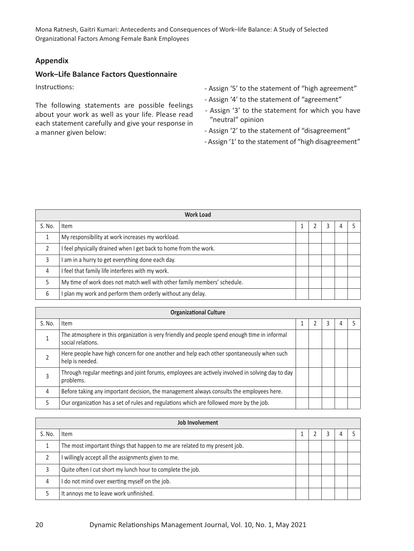## **Appendix**

## **Work–Life Balance Factors Questionnaire**

Instructions:

The following statements are possible feelings about your work as well as your life. Please read each statement carefully and give your response in a manner given below:

- ‐ Assign '5' to the statement of "high agreement"
- ‐ Assign '4' to the statement of "agreement"
- ‐ Assign '3' to the statement for which you have "neutral" opinion
- ‐ Assign '2' to the statement of "disagreement"
- ‐ Assign '1' to the statement of "high disagreement"

|        | <b>Work Load</b>                                                         |  |  |  |  |  |  |  |  |
|--------|--------------------------------------------------------------------------|--|--|--|--|--|--|--|--|
| S. No. | Item                                                                     |  |  |  |  |  |  |  |  |
|        | My responsibility at work increases my workload.                         |  |  |  |  |  |  |  |  |
|        | I feel physically drained when I get back to home from the work.         |  |  |  |  |  |  |  |  |
|        | am in a hurry to get everything done each day.                           |  |  |  |  |  |  |  |  |
| 4      | I feel that family life interferes with my work.                         |  |  |  |  |  |  |  |  |
|        | My time of work does not match well with other family members' schedule. |  |  |  |  |  |  |  |  |
| 6      | plan my work and perform them orderly without any delay.                 |  |  |  |  |  |  |  |  |

|        | <b>Organizational Culture</b>                                                                                      |  |  |  |  |  |  |  |  |  |
|--------|--------------------------------------------------------------------------------------------------------------------|--|--|--|--|--|--|--|--|--|
| S. No. | Item                                                                                                               |  |  |  |  |  |  |  |  |  |
|        | The atmosphere in this organization is very friendly and people spend enough time in informal<br>social relations. |  |  |  |  |  |  |  |  |  |
|        | Here people have high concern for one another and help each other spontaneously when such<br>help is needed.       |  |  |  |  |  |  |  |  |  |
| 3      | Through regular meetings and joint forums, employees are actively involved in solving day to day<br>problems.      |  |  |  |  |  |  |  |  |  |
| 4      | Before taking any important decision, the management always consults the employees here.                           |  |  |  |  |  |  |  |  |  |
| 5      | Our organization has a set of rules and regulations which are followed more by the job.                            |  |  |  |  |  |  |  |  |  |

|        | <b>Job Involvement</b>                                                     |  |  |  |  |  |  |  |  |  |
|--------|----------------------------------------------------------------------------|--|--|--|--|--|--|--|--|--|
| S. No. | Item                                                                       |  |  |  |  |  |  |  |  |  |
|        | The most important things that happen to me are related to my present job. |  |  |  |  |  |  |  |  |  |
|        | willingly accept all the assignments given to me.                          |  |  |  |  |  |  |  |  |  |
| 3      | Quite often I cut short my lunch hour to complete the job.                 |  |  |  |  |  |  |  |  |  |
| 4      | I do not mind over exerting myself on the job.                             |  |  |  |  |  |  |  |  |  |
|        | It annoys me to leave work unfinished.                                     |  |  |  |  |  |  |  |  |  |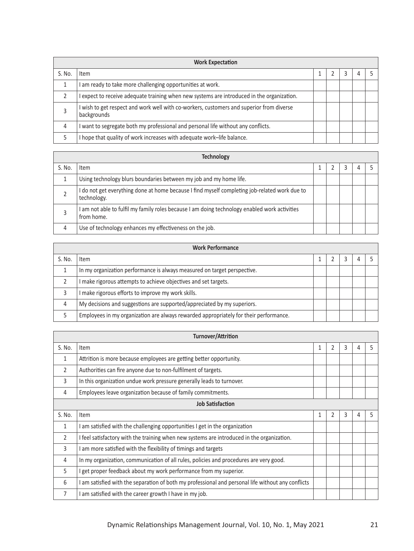|        | <b>Work Expectation</b>                                                                               |  |  |  |  |  |  |  |
|--------|-------------------------------------------------------------------------------------------------------|--|--|--|--|--|--|--|
| S. No. | Item                                                                                                  |  |  |  |  |  |  |  |
|        | am ready to take more challenging opportunities at work.                                              |  |  |  |  |  |  |  |
|        | expect to receive adequate training when new systems are introduced in the organization.              |  |  |  |  |  |  |  |
|        | wish to get respect and work well with co-workers, customers and superior from diverse<br>backgrounds |  |  |  |  |  |  |  |
| 4      | want to segregate both my professional and personal life without any conflicts.                       |  |  |  |  |  |  |  |
|        | hope that quality of work increases with adequate work-life balance.                                  |  |  |  |  |  |  |  |

|        | <b>Technology</b>                                                                                            |  |  |  |  |  |  |  |  |  |  |
|--------|--------------------------------------------------------------------------------------------------------------|--|--|--|--|--|--|--|--|--|--|
| S. No. | Item                                                                                                         |  |  |  |  |  |  |  |  |  |  |
|        | Using technology blurs boundaries between my job and my home life.                                           |  |  |  |  |  |  |  |  |  |  |
|        | I do not get everything done at home because I find myself completing job-related work due to<br>technology. |  |  |  |  |  |  |  |  |  |  |
|        | am not able to fulfil my family roles because I am doing technology enabled work activities<br>from home.    |  |  |  |  |  |  |  |  |  |  |
| 4      | Use of technology enhances my effectiveness on the job.                                                      |  |  |  |  |  |  |  |  |  |  |

|        | <b>Work Performance</b>                                                               |  |  |  |  |  |  |  |
|--------|---------------------------------------------------------------------------------------|--|--|--|--|--|--|--|
| S. No. | Item                                                                                  |  |  |  |  |  |  |  |
|        | In my organization performance is always measured on target perspective.              |  |  |  |  |  |  |  |
|        | make rigorous attempts to achieve objectives and set targets.                         |  |  |  |  |  |  |  |
|        | make rigorous efforts to improve my work skills.                                      |  |  |  |  |  |  |  |
| 4      | My decisions and suggestions are supported/appreciated by my superiors.               |  |  |  |  |  |  |  |
|        | Employees in my organization are always rewarded appropriately for their performance. |  |  |  |  |  |  |  |

|              | Turnover/Attrition                                                                               |              |                |   |   |   |  |  |  |  |
|--------------|--------------------------------------------------------------------------------------------------|--------------|----------------|---|---|---|--|--|--|--|
| S. No.       | Item                                                                                             | $\mathbf{1}$ | 2              | 3 | 4 | 5 |  |  |  |  |
| 1            | Attrition is more because employees are getting better opportunity.                              |              |                |   |   |   |  |  |  |  |
| 2            | Authorities can fire anyone due to non-fulfilment of targets.                                    |              |                |   |   |   |  |  |  |  |
| 3            | In this organization undue work pressure generally leads to turnover.                            |              |                |   |   |   |  |  |  |  |
| 4            | Employees leave organization because of family commitments.                                      |              |                |   |   |   |  |  |  |  |
|              | <b>Job Satisfaction</b>                                                                          |              |                |   |   |   |  |  |  |  |
| S. No.       | Item                                                                                             | 1            | $\overline{2}$ | 3 | 4 | 5 |  |  |  |  |
| $\mathbf{1}$ | am satisfied with the challenging opportunities I get in the organization                        |              |                |   |   |   |  |  |  |  |
| 2            | I feel satisfactory with the training when new systems are introduced in the organization.       |              |                |   |   |   |  |  |  |  |
| 3            | am more satisfied with the flexibility of timings and targets                                    |              |                |   |   |   |  |  |  |  |
| 4            | In my organization, communication of all rules, policies and procedures are very good.           |              |                |   |   |   |  |  |  |  |
| 5            | get proper feedback about my work performance from my superior.                                  |              |                |   |   |   |  |  |  |  |
| 6            | am satisfied with the separation of both my professional and personal life without any conflicts |              |                |   |   |   |  |  |  |  |
| 7            | am satisfied with the career growth I have in my job.                                            |              |                |   |   |   |  |  |  |  |